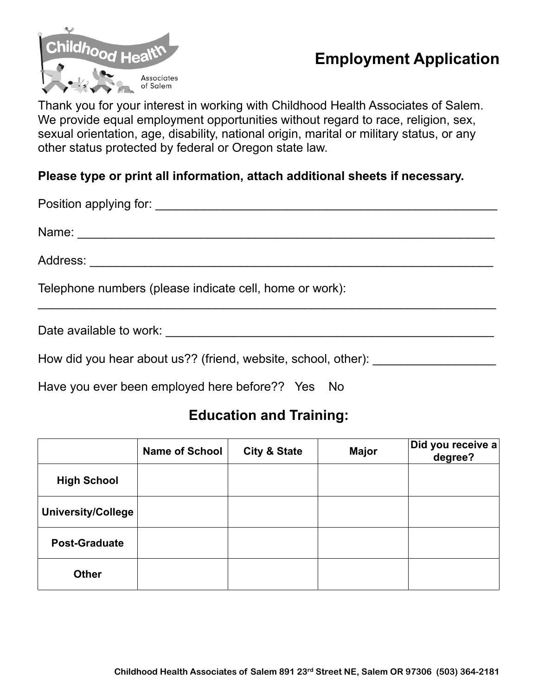

## **Employment Application**

Thank you for your interest in working with Childhood Health Associates of Salem. We provide equal employment opportunities without regard to race, religion, sex, sexual orientation, age, disability, national origin, marital or military status, or any other status protected by federal or Oregon state law.

## **Please type or print all information, attach additional sheets if necessary.**

| Telephone numbers (please indicate cell, home or work): |
|---------------------------------------------------------|
| Date available to work:                                 |

How did you hear about us?? (friend, website, school, other):

Have you ever been employed here before?? Yes No

## **Education and Training:**

|                           | <b>Name of School</b> | <b>City &amp; State</b> | <b>Major</b> | $ \mathsf{Did}$ you receive a $ $<br>degree? |
|---------------------------|-----------------------|-------------------------|--------------|----------------------------------------------|
| <b>High School</b>        |                       |                         |              |                                              |
| <b>University/College</b> |                       |                         |              |                                              |
| <b>Post-Graduate</b>      |                       |                         |              |                                              |
| <b>Other</b>              |                       |                         |              |                                              |